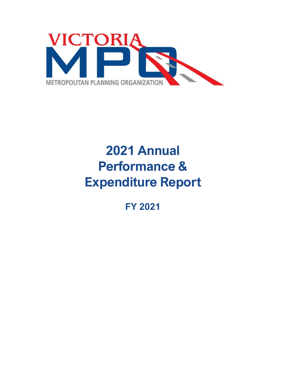

# **2021 Annual Performance & Expenditure Report**

**FY 2021**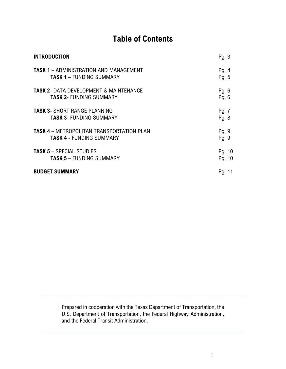## **Table of Contents**

| <b>INTRODUCTION</b>                               | Pg. $3$ |
|---------------------------------------------------|---------|
| <b>TASK 1 - ADMINISTRATION AND MANAGEMENT</b>     | Pg. $4$ |
| <b>TASK 1 - FUNDING SUMMARY</b>                   | Pg. 5   |
| <b>TASK 2- DATA DEVELOPMENT &amp; MAINTENANCE</b> | Pg. $6$ |
| <b>TASK 2- FUNDING SUMMARY</b>                    | Pg. $6$ |
| <b>TASK 3- SHORT RANGE PLANNING</b>               | Pg. 7   |
| <b>TASK 3- FUNDING SUMMARY</b>                    | Pg. 8   |
| <b>TASK 4 - METROPOLITAN TRANSPORTATION PLAN</b>  | Pg. 9   |
| <b>TASK 4 - FUNDING SUMMARY</b>                   | Pg. 9   |
| <b>TASK 5 - SPECIAL STUDIES</b>                   | Pg. 10  |
| <b>TASK 5 - FUNDING SUMMARY</b>                   | Pg. 10  |
| <b>BUDGET SUMMARY</b>                             | Pg. 11  |

Prepared in cooperation with the Texas Department of Transportation, the U.S. Department of Transportation, the Federal Highway Administration, and the Federal Transit Administration.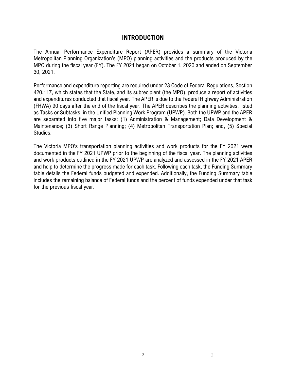## **INTRODUCTION**

The Annual Performance Expenditure Report (APER) provides a summary of the Victoria Metropolitan Planning Organization's (MPO) planning activities and the products produced by the MPO during the fiscal year (FY). The FY 2021 began on October 1, 2020 and ended on September 30, 2021.

Performance and expenditure reporting are required under 23 Code of Federal Regulations, Section 420.117, which states that the State, and its subrecipient (the MPO), produce a report of activities and expenditures conducted that fiscal year. The APER is due to the Federal Highway Administration (FHWA) 90 days after the end of the fiscal year. The APER describes the planning activities, listed as Tasks or Subtasks, in the Unified Planning Work Program (UPWP). Both the UPWP and the APER are separated into five major tasks: (1) Administration & Management; Data Development & Maintenance; (3) Short Range Planning; (4) Metropolitan Transportation Plan; and, (5) Special Studies.

The Victoria MPO's transportation planning activities and work products for the FY 2021 were documented in the FY 2021 UPWP prior to the beginning of the fiscal year. The planning activities and work products outlined in the FY 2021 UPWP are analyzed and assessed in the FY 2021 APER and help to determine the progress made for each task. Following each task, the Funding Summary table details the Federal funds budgeted and expended. Additionally, the Funding Summary table includes the remaining balance of Federal funds and the percent of funds expended under that task for the previous fiscal year.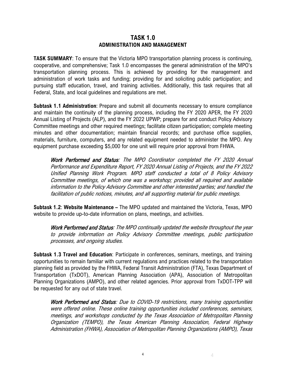## **TASK 1.0 ADMINISTRATION AND MANAGEMENT**

**TASK SUMMARY**: To ensure that the Victoria MPO transportation planning process is continuing, cooperative, and comprehensive; Task 1.0 encompasses the general administration of the MPO's transportation planning process. This is achieved by providing for the management and administration of work tasks and funding; providing for and soliciting public participation; and pursuing staff education, travel, and training activities. Additionally, this task requires that all Federal, State, and local guidelines and regulations are met.

**Subtask 1.1 Administration**: Prepare and submit all documents necessary to ensure compliance and maintain the continuity of the planning process, including the FY 2020 APER, the FY 2020 Annual Listing of Projects (ALP), and the FY 2022 UPWP; prepare for and conduct Policy Advisory Committee meetings and other required meetings; facilitate citizen participation; complete meeting minutes and other documentation; maintain financial records; and purchase office supplies, materials, furniture, computers, and any related equipment needed to administer the MPO. Any equipment purchase exceeding \$5,000 for one unit will require prior approval from FHWA.

Work Performed and Status: The MPO Coordinator completed the FY 2020 Annual Performance and Expenditure Report, FY 2020 Annual Listing of Projects, and the FY 2022 Unified Planning Work Program. MPO staff conducted a total of 8 Policy Advisory Committee meetings, of which one was a workshop; provided all required and available information to the Policy Advisory Committee and other interested parties; and handled the facilitation of public notices, minutes, and all supporting material for public meetings.

**Subtask 1.2**: **Website Maintenance –** The MPO updated and maintained the Victoria, Texas, MPO website to provide up-to-date information on plans, meetings, and activities.

Work Performed and Status: The MPO continually updated the website throughout the year to provide information on Policy Advisory Committee meetings, public participation processes, and ongoing studies.

**Subtask 1.3 Travel and Education**: Participate in conferences, seminars, meetings, and training opportunities to remain familiar with current regulations and practices related to the transportation planning field as provided by the FHWA, Federal Transit Administration (FTA), Texas Department of Transportation (TxDOT), American Planning Association (APA), Association of Metropolitan Planning Organizations (AMPO), and other related agencies. Prior approval from TxDOT-TPP will be requested for any out of state travel.

Work Performed and Status: Due to COVID-19 restrictions, many training opportunities were offered online. These online training opportunities included conferences, seminars, meetings, and workshops conducted by the Texas Association of Metropolitan Planning Organization (TEMPO), the Texas American Planning Association, Federal Highway Administration (FHWA), Association of Metropolitan Planning Organizations (AMPO), Texas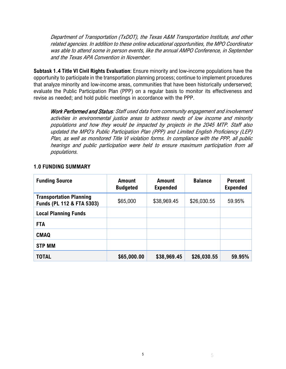Department of Transportation (TxDOT), the Texas A&M Transportation Institute, and other related agencies. In addition to these online educational opportunities, the MPO Coordinator was able to attend some in person events, like the annual AMPO Conference, in September and the Texas APA Convention in November.

**Subtask 1.4 Title VI Civil Rights Evaluation**: Ensure minority and low-income populations have the opportunity to participate in the transportation planning process; continue to implement procedures that analyze minority and low-income areas, communities that have been historically underserved; evaluate the Public Participation Plan (PPP) on a regular basis to monitor its effectiveness and revise as needed; and hold public meetings in accordance with the PPP.

Work Performed and Status: Staff used data from community engagement and involvement activities in environmental justice areas to address needs of low income and minority populations and how they would be impacted by projects in the 2045 MTP. Staff also updated the MPO's Public Participation Plan (PPP) and Limited English Proficiency (LEP) Plan, as well as monitored Title VI violation forms. In compliance with the PPP, all public hearings and public participation were held to ensure maximum participation from all populations.

| <b>Funding Source</b>                                       | <b>Amount</b><br><b>Budgeted</b> | Amount<br><b>Expended</b> | <b>Balance</b> | <b>Percent</b><br><b>Expended</b> |
|-------------------------------------------------------------|----------------------------------|---------------------------|----------------|-----------------------------------|
| <b>Transportation Planning</b><br>Funds (PL 112 & FTA 5303) | \$65,000                         | \$38,969.45               | \$26,030.55    | 59.95%                            |
| <b>Local Planning Funds</b>                                 |                                  |                           |                |                                   |
| <b>FTA</b>                                                  |                                  |                           |                |                                   |
| <b>CMAQ</b>                                                 |                                  |                           |                |                                   |
| <b>STP MM</b>                                               |                                  |                           |                |                                   |
| <b>TOTAL</b>                                                | \$65,000.00                      | \$38,969.45               | \$26,030.55    | 59.95%                            |

## **1.0 FUNDING SUMMARY**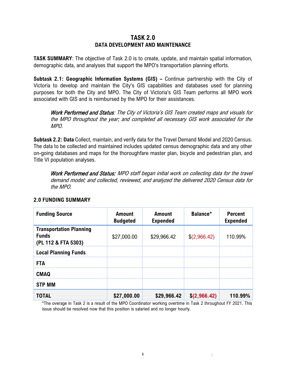## **TASK 2.0 DATA DEVELOPMENT AND MAINTENANCE**

**TASK SUMMARY**: The objective of Task 2.0 is to create, update, and maintain spatial information, demographic data, and analyses that support the MPO's transportation planning efforts.

**Subtask 2.1: Geographic Information Systems (GIS) –** Continue partnership with the City of Victoria to develop and maintain the City's GIS capabilities and databases used for planning purposes for both the City and MPO. The City of Victoria's GIS Team performs all MPO work associated with GIS and is reimbursed by the MPO for their assistances.

Work Performed and Status: The City of Victoria's GIS Team created maps and visuals for the MPO throughout the year; and completed all necessary GIS work associated for the MPO.

**Subtask 2.2: Data** Collect, maintain, and verify data for the Travel Demand Model and 2020 Census. The data to be collected and maintained includes updated census demographic data and any other on-going databases and maps for the thoroughfare master plan, bicycle and pedestrian plan, and Title VI population analyses.

Work Performed and Status: MPO staff began initial work on collecting data for the travel demand model; and collected, reviewed, and analyzed the delivered 2020 Census data for the MPO.

| <b>Funding Source</b>                                                 | <b>Amount</b><br><b>Budgeted</b> | <b>Amount</b><br><b>Expended</b> | Balance*     | <b>Percent</b><br><b>Expended</b> |
|-----------------------------------------------------------------------|----------------------------------|----------------------------------|--------------|-----------------------------------|
| <b>Transportation Planning</b><br><b>Funds</b><br>(PL 112 & FTA 5303) | \$27,000.00                      | \$29,966.42                      | \$(2,966.42) | 110.99%                           |
| <b>Local Planning Funds</b>                                           |                                  |                                  |              |                                   |
| <b>FTA</b>                                                            |                                  |                                  |              |                                   |
| <b>CMAQ</b>                                                           |                                  |                                  |              |                                   |
| <b>STP MM</b>                                                         |                                  |                                  |              |                                   |
| <b>TOTAL</b>                                                          | \$27,000.00                      | \$29,966.42                      | \$(2,966.42) | 110.99%                           |

## **2.0 FUNDING SUMMARY**

\*The overage in Task 2 is a result of the MPO Coordinator working overtime in Task 2 throughout FY 2021. This issue should be resolved now that this position is salaried and no longer hourly.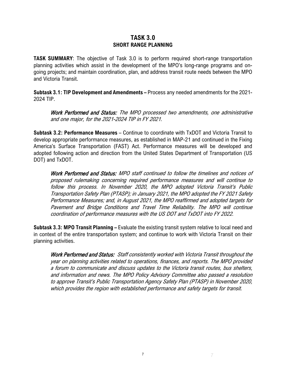## **TASK 3.0 SHORT RANGE PLANNING**

**TASK SUMMARY**: The objective of Task 3.0 is to perform required short-range transportation planning activities which assist in the development of the MPO's long-range programs and ongoing projects; and maintain coordination, plan, and address transit route needs between the MPO and Victoria Transit.

**Subtask 3.1: TIP Development and Amendments –** Process any needed amendments for the 2021- 2024 TIP.

Work Performed and Status: The MPO processed two amendments, one administrative and one major, for the 2021-2024 TIP in FY 2021.

**Subtask 3.2: Performance Measures** – Continue to coordinate with TxDOT and Victoria Transit to develop appropriate performance measures, as established in MAP-21 and continued in the Fixing America's Surface Transportation (FAST) Act. Performance measures will be developed and adopted following action and direction from the United States Department of Transportation (US DOT) and TxDOT.

Work Performed and Status: MPO staff continued to follow the timelines and notices of proposed rulemaking concerning required performance measures and will continue to follow this process. In November 2020, the MPO adopted Victoria Transit's Public Transportation Safety Plan (PTASP); in January 2021, the MPO adopted the FY 2021 Safety Performance Measures; and, in August 2021, the MPO reaffirmed and adopted targets for Pavement and Bridge Conditions and Travel Time Reliability. The MPO will continue coordination of performance measures with the US DOT and TxDOT into FY 2022.

**Subtask 3.3: MPO Transit Planning –** Evaluate the existing transit system relative to local need and in context of the entire transportation system; and continue to work with Victoria Transit on their planning activities.

Work Performed and Status: Staff consistently worked with Victoria Transit throughout the year on planning activities related to operations, finances, and reports. The MPO provided a forum to communicate and discuss updates to the Victoria transit routes, bus shelters, and information and news. The MPO Policy Advisory Committee also passed a resolution to approve Transit's Public Transportation Agency Safety Plan (PTASP) in November 2020, which provides the region with established performance and safety targets for transit.

7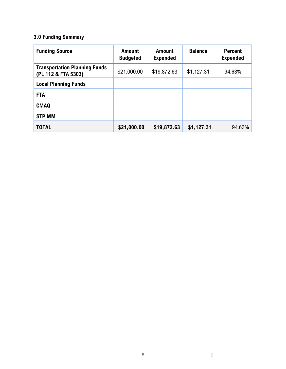## **3.0 Funding Summary**

| <b>Funding Source</b>                                       | Amount<br><b>Budgeted</b> | Amount<br><b>Expended</b> | <b>Balance</b> | <b>Percent</b><br><b>Expended</b> |
|-------------------------------------------------------------|---------------------------|---------------------------|----------------|-----------------------------------|
| <b>Transportation Planning Funds</b><br>(PL 112 & FTA 5303) | \$21,000.00               | \$19,872.63               | \$1,127.31     | 94.63%                            |
| <b>Local Planning Funds</b>                                 |                           |                           |                |                                   |
| <b>FTA</b>                                                  |                           |                           |                |                                   |
| <b>CMAQ</b>                                                 |                           |                           |                |                                   |
| <b>STP MM</b>                                               |                           |                           |                |                                   |
| <b>TOTAL</b>                                                | \$21,000.00               | \$19,872.63               | \$1,127.31     | 94.63%                            |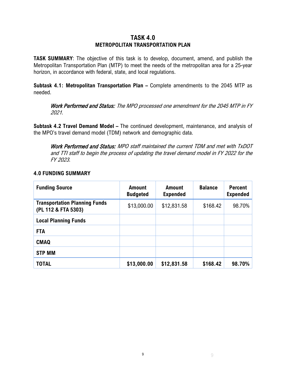## **TASK 4.0 METROPOLITAN TRANSPORTATION PLAN**

**TASK SUMMARY**: The objective of this task is to develop, document, amend, and publish the Metropolitan Transportation Plan (MTP) to meet the needs of the metropolitan area for a 25-year horizon, in accordance with federal, state, and local regulations.

**Subtask 4.1: Metropolitan Transportation Plan –** Complete amendments to the 2045 MTP as needed.

Work Performed and Status: The MPO processed one amendment for the 2045 MTP in FY 2021.

**Subtask 4.2 Travel Demand Model –** The continued development, maintenance, and analysis of the MPO's travel demand model (TDM) network and demographic data.

Work Performed and Status: MPO staff maintained the current TDM and met with TxDOT and TTI staff to begin the process of updating the travel demand model in FY 2022 for the FY 2023.

## **4.0 FUNDING SUMMARY**

| <b>Funding Source</b>                                       | <b>Amount</b><br><b>Budgeted</b> | <b>Amount</b><br><b>Expended</b> | <b>Balance</b> | <b>Percent</b><br><b>Expended</b> |
|-------------------------------------------------------------|----------------------------------|----------------------------------|----------------|-----------------------------------|
| <b>Transportation Planning Funds</b><br>(PL 112 & FTA 5303) | \$13,000.00                      | \$12,831.58                      | \$168.42       | 98.70%                            |
| <b>Local Planning Funds</b>                                 |                                  |                                  |                |                                   |
| <b>FTA</b>                                                  |                                  |                                  |                |                                   |
| <b>CMAQ</b>                                                 |                                  |                                  |                |                                   |
| <b>STP MM</b>                                               |                                  |                                  |                |                                   |
| <b>TOTAL</b>                                                | \$13,000.00                      | \$12,831.58                      | \$168.42       | 98.70%                            |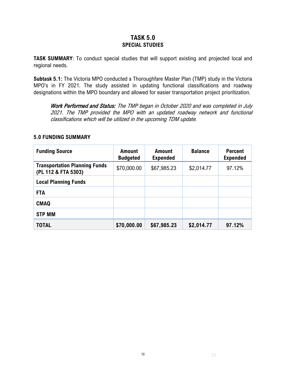## **TASK 5.0 SPECIAL STUDIES**

**TASK SUMMARY**: To conduct special studies that will support existing and projected local and regional needs.

**Subtask 5.1:** The Victoria MPO conducted a Thoroughfare Master Plan (TMP) study in the Victoria MPO's in FY 2021. The study assisted in updating functional classifications and roadway designations within the MPO boundary and allowed for easier transportation project prioritization.

Work Performed and Status: The TMP began in October 2020 and was completed in July 2021. The TMP provided the MPO with an updated roadway network and functional classifications which will be utilized in the upcoming TDM update.

#### **5.0 FUNDING SUMMARY**

| <b>Funding Source</b>                                       | <b>Amount</b><br><b>Budgeted</b> | <b>Amount</b><br><b>Expended</b> | <b>Balance</b> | <b>Percent</b><br><b>Expended</b> |
|-------------------------------------------------------------|----------------------------------|----------------------------------|----------------|-----------------------------------|
| <b>Transportation Planning Funds</b><br>(PL 112 & FTA 5303) | \$70,000.00                      | \$67,985.23                      | \$2,014.77     | 97.12%                            |
| <b>Local Planning Funds</b>                                 |                                  |                                  |                |                                   |
| <b>FTA</b>                                                  |                                  |                                  |                |                                   |
| <b>CMAQ</b>                                                 |                                  |                                  |                |                                   |
| <b>STP MM</b>                                               |                                  |                                  |                |                                   |
| <b>TOTAL</b>                                                | \$70,000.00                      | \$67,985.23                      | \$2,014.77     | 97.12%                            |